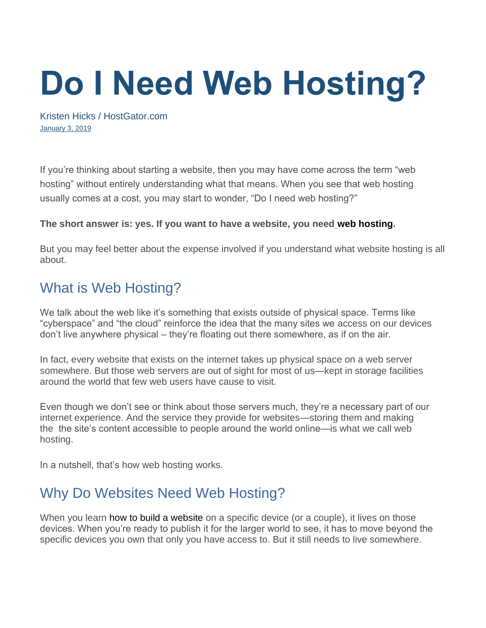# **Do I Need Web Hosting?**

[Kristen Hicks](https://www.hostgator.com/blog/author/khicks/) / HostGator.com [January 3, 2019](https://www.hostgator.com/blog/do-i-need-web-hosting/)

If you're thinking about starting a website, then you may have come across the term "web hosting" without entirely understanding what that means. When you see that web hosting usually comes at a cost, you may start to wonder, "Do I need web hosting?"

#### **The short answer is: yes. If you want to have a website, you need web hosting.**

But you may feel better about the expense involved if you understand what website hosting is all about.

# What is Web Hosting?

We talk about the web like it's something that exists outside of physical space. Terms like "cyberspace" and "the cloud" reinforce the idea that the many sites we access on our devices don't live anywhere physical – they're floating out there somewhere, as if on the air.

In fact, every website that exists on the internet takes up physical space on a web server somewhere. But those web servers are out of sight for most of us—kept in storage facilities around the world that few web users have cause to visit.

Even though we don't see or think about those servers much, they're a necessary part of our internet experience. And the service they provide for websites—storing them and making the the site's content accessible to people around the world online—is what we call web hosting.

In a nutshell, that's how web hosting works.

# Why Do Websites Need Web Hosting?

When you learn how to build a website on a specific device (or a couple), it lives on those devices. When you're ready to publish it for the larger world to see, it has to move beyond the specific devices you own that only you have access to. But it still needs to live somewhere.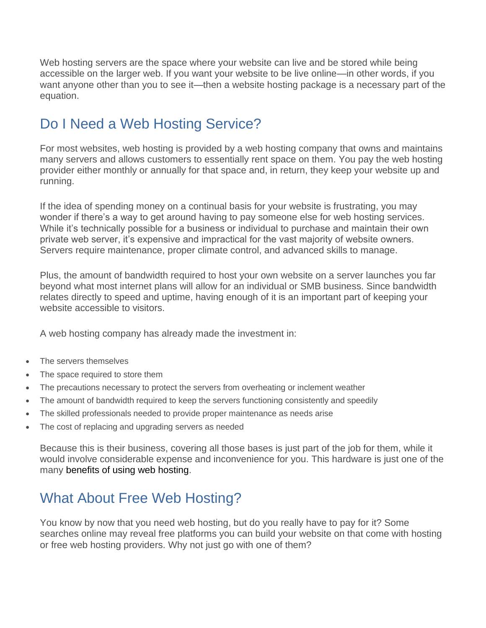Web hosting servers are the space where your website can live and be stored while being accessible on the larger web. If you want your website to be live online—in other words, if you want anyone other than you to see it—then a website hosting package is a necessary part of the equation.

# Do I Need a Web Hosting Service?

For most websites, web hosting is provided by a web hosting company that owns and maintains many servers and allows customers to essentially rent space on them. You pay the web hosting provider either monthly or annually for that space and, in return, they keep your website up and running.

If the idea of spending money on a continual basis for your website is frustrating, you may wonder if there's a way to get around having to pay someone else for web hosting services. While it's technically possible for a business or individual to purchase and maintain their own private web server, it's expensive and impractical for the vast majority of website owners. Servers require maintenance, proper climate control, and advanced skills to manage.

Plus, the amount of bandwidth required to host your own website on a server launches you far beyond what most internet plans will allow for an individual or SMB business. Since bandwidth relates directly to speed and uptime, having enough of it is an important part of keeping your website accessible to visitors.

A web hosting company has already made the investment in:

- The servers themselves
- The space required to store them
- The precautions necessary to protect the servers from overheating or inclement weather
- The amount of bandwidth required to keep the servers functioning consistently and speedily
- The skilled professionals needed to provide proper maintenance as needs arise
- The cost of replacing and upgrading servers as needed

Because this is their business, covering all those bases is just part of the job for them, while it would involve considerable expense and inconvenience for you. This hardware is just one of the many benefits of using web hosting.

# What About Free Web Hosting?

You know by now that you need web hosting, but do you really have to pay for it? Some searches online may reveal free platforms you can build your website on that come with hosting or free web hosting providers. Why not just go with one of them?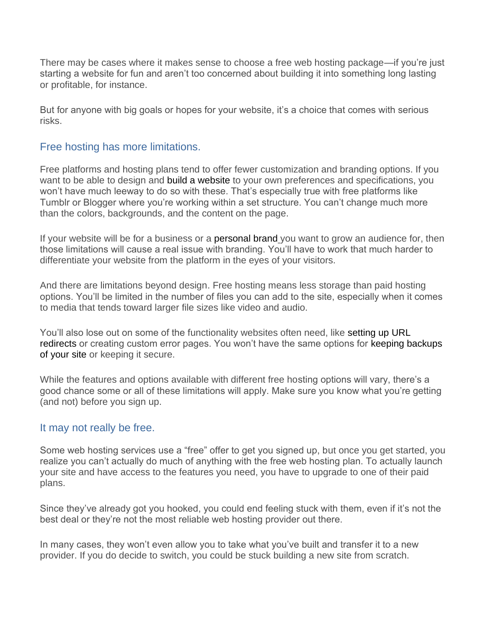There may be cases where it makes sense to choose a free web hosting package—if you're just starting a website for fun and aren't too concerned about building it into something long lasting or profitable, for instance.

But for anyone with big goals or hopes for your website, it's a choice that comes with serious risks.

## Free hosting has more limitations.

Free platforms and hosting plans tend to offer fewer customization and branding options. If you want to be able to design and build a website to your own preferences and specifications, you won't have much leeway to do so with these. That's especially true with free platforms like Tumblr or Blogger where you're working within a set structure. You can't change much more than the colors, backgrounds, and the content on the page.

If your website will be for a business or a personal brand you want to grow an audience for, then those limitations will cause a real issue with branding. You'll have to work that much harder to differentiate your website from the platform in the eyes of your visitors.

And there are limitations beyond design. Free hosting means less storage than paid hosting options. You'll be limited in the number of files you can add to the site, especially when it comes to media that tends toward larger file sizes like video and audio.

You'll also lose out on some of the functionality websites often need, like setting up URL redirects or creating custom error pages. You won't have the same options for keeping backups of your site or keeping it secure.

While the features and options available with different free hosting options will vary, there's a good chance some or all of these limitations will apply. Make sure you know what you're getting (and not) before you sign up.

#### It may not really be free.

Some web hosting services use a "free" offer to get you signed up, but once you get started, you realize you can't actually do much of anything with the free web hosting plan. To actually launch your site and have access to the features you need, you have to upgrade to one of their paid plans.

Since they've already got you hooked, you could end feeling stuck with them, even if it's not the best deal or they're not the most reliable web hosting provider out there.

In many cases, they won't even allow you to take what you've built and transfer it to a new provider. If you do decide to switch, you could be stuck building a new site from scratch.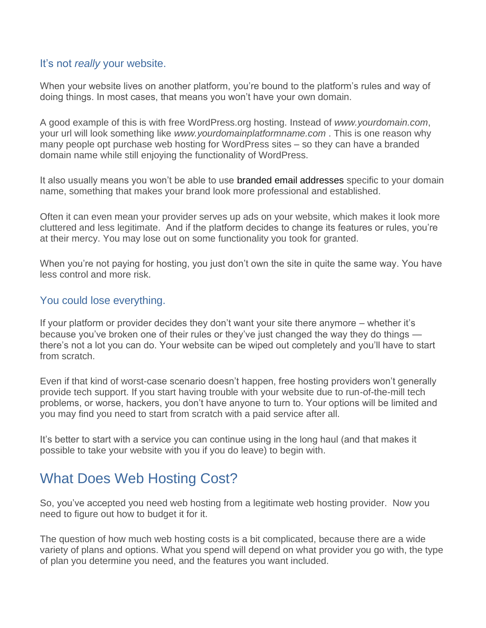#### It's not *really* your website.

When your website lives on another platform, you're bound to the platform's rules and way of doing things. In most cases, that means you won't have your own domain.

A good example of this is with free WordPress.org hosting. Instead of *www.yourdomain.com*, your url will look something like *www.yourdomainplatformname.com* . This is one reason why many people opt purchase web hosting for WordPress sites – so they can have a branded domain name while still enjoying the functionality of WordPress.

It also usually means you won't be able to use branded email addresses specific to your domain name, something that makes your brand look more professional and established.

Often it can even mean your provider serves up ads on your website, which makes it look more cluttered and less legitimate. And if the platform decides to change its features or rules, you're at their mercy. You may lose out on some functionality you took for granted.

When you're not paying for hosting, you just don't own the site in quite the same way. You have less control and more risk.

#### You could lose everything.

If your platform or provider decides they don't want your site there anymore – whether it's because you've broken one of their rules or they've just changed the way they do things there's not a lot you can do. Your website can be wiped out completely and you'll have to start from scratch.

Even if that kind of worst-case scenario doesn't happen, free hosting providers won't generally provide tech support. If you start having trouble with your website due to run-of-the-mill tech problems, or worse, hackers, you don't have anyone to turn to. Your options will be limited and you may find you need to start from scratch with a paid service after all.

It's better to start with a service you can continue using in the long haul (and that makes it possible to take your website with you if you do leave) to begin with.

## What Does Web Hosting Cost?

So, you've accepted you need web hosting from a legitimate web hosting provider. Now you need to figure out how to budget it for it.

The question of how much web hosting costs is a bit complicated, because there are a wide variety of plans and options. What you spend will depend on what provider you go with, the type of plan you determine you need, and the features you want included.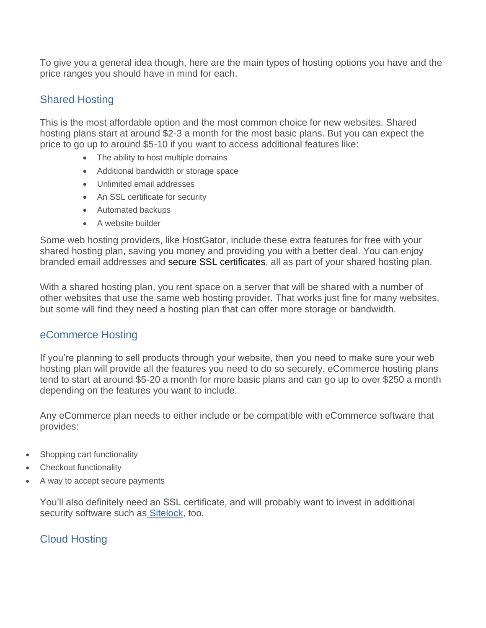To give you a general idea though, here are the main types of hosting options you have and the price ranges you should have in mind for each.

## Shared Hosting

This is the most affordable option and the most common choice for new websites. Shared hosting plans start at around \$2-3 a month for the most basic plans. But you can expect the price to go up to around \$5-10 if you want to access additional features like:

- The ability to host multiple domains
- Additional bandwidth or storage space
- Unlimited email addresses
- An SSL certificate for security
- Automated backups
- A website builder

Some web hosting providers, like HostGator, include these extra features for free with your shared hosting plan, saving you money and providing you with a better deal. You can enjoy branded email addresses and secure SSL certificates, all as part of your shared hosting plan.

With a shared hosting plan, you rent space on a server that will be shared with a number of other websites that use the same web hosting provider. That works just fine for many websites, but some will find they need a hosting plan that can offer more storage or bandwidth.

## eCommerce Hosting

If you're planning to sell products through your website, then you need to make sure your web hosting plan will provide all the features you need to do so securely. eCommerce hosting plans tend to start at around \$5-20 a month for more basic plans and can go up to over \$250 a month depending on the features you want to include.

Any eCommerce plan needs to either include or be compatible with eCommerce software that provides:

- Shopping cart functionality
- **Checkout functionality**
- A way to accept secure payments

You'll also definitely need an SSL certificate, and will probably want to invest in additional security software such as [Sitelock,](https://www.hostgator.com/sitelock) too.

## Cloud Hosting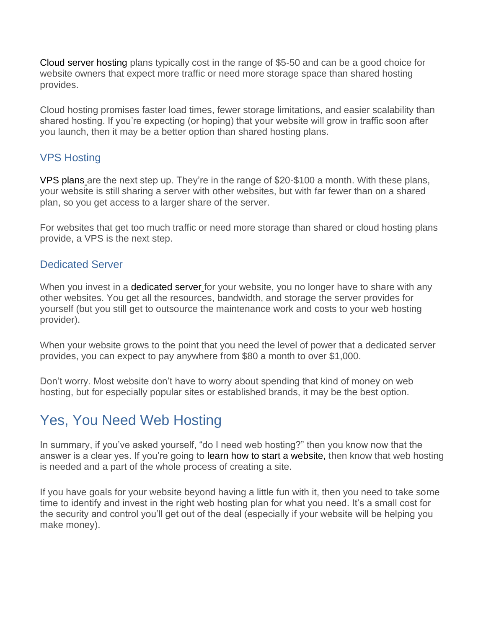Cloud server hosting plans typically cost in the range of \$5-50 and can be a good choice for website owners that expect more traffic or need more storage space than shared hosting provides.

Cloud hosting promises faster load times, fewer storage limitations, and easier scalability than shared hosting. If you're expecting (or hoping) that your website will grow in traffic soon after you launch, then it may be a better option than shared hosting plans.

## VPS Hosting

VPS plans are the next step up. They're in the range of \$20-\$100 a month. With these plans, your website is still sharing a server with other websites, but with far fewer than on a shared plan, so you get access to a larger share of the server.

For websites that get too much traffic or need more storage than shared or cloud hosting plans provide, a VPS is the next step.

## Dedicated Server

When you invest in a dedicated server for your website, you no longer have to share with any other websites. You get all the resources, bandwidth, and storage the server provides for yourself (but you still get to outsource the maintenance work and costs to your web hosting provider).

When your website grows to the point that you need the level of power that a dedicated server provides, you can expect to pay anywhere from \$80 a month to over \$1,000.

Don't worry. Most website don't have to worry about spending that kind of money on web hosting, but for especially popular sites or established brands, it may be the best option.

# Yes, You Need Web Hosting

In summary, if you've asked yourself, "do I need web hosting?" then you know now that the answer is a clear yes. If you're going to learn how to start a website, then know that web hosting is needed and a part of the whole process of creating a site.

If you have goals for your website beyond having a little fun with it, then you need to take some time to identify and invest in the right web hosting plan for what you need. It's a small cost for the security and control you'll get out of the deal (especially if your website will be helping you make money).